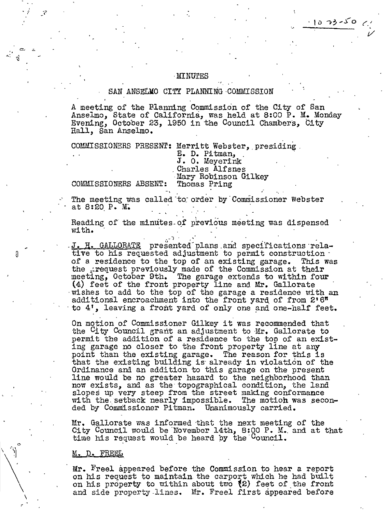#### ·MINurES

#### SAN ANSELMO CITY PLANNING COMMISSION

A meeting of the Blanning Commission of the City of San Anselmo, State of California, was held at 8:00 P. M. Monday Evening, October 23, 1950 in the Council Chambers, City Hall, San Anselmo.

 $1073 - 50$ 

COMMISSIONERS PRESENT: Merritt Webster, presiding.

E. D. Pitman,<br>J. O. Meyerink<br>Charles Alfsnes Mary Robinson Gilkey Thomas Pring

COMMISSIONERS ABSENT:

 $\sim$   $\frac{1}{N}$ 

. /

 $\ddot{\cdot}$ 

0

\

The meeting was called to order by Commissioner Webster at 8:20 P. M.

Reading of the minutes of previous meeting was dispensed with. ,  $\mathcal{P}^{\mathcal{P}} \in \mathcal{P}^{\mathcal{P}}$  , where  $\mathcal{P}^{\mathcal{P}}$  is a subset of .

J. H. GALLORATE presented plans and specifications relative to his requested adjustment to permit construction· of a residence to the top of an existing garage. This was the expectation of the commission at their meeting, October 9th. The garage extends to within four  $(4)$  feet of the front property line and Mr. Gallorate vishes to add to the top of the garage a residence with an additional encroachment into the front yard of from 2'6" to 4', leaving a front yard of only one and one-half feet.

On motion of Commissioner Gilkey it was recommended that the City Council grant an adjustment to Mr. Gallorate to permit the addition of a residence to the top of an existing "garage no closer to the front property line at any point than the existing garage. The reason for this is that the existing building is already in violation of the Ordinance and an addition to this garage on the present line would be no greater hazard to the neighborhood than now exists, and as the topographical condition, the land slopes up very steep from the street making conformance<br>with the setback nearly impossible. The motion was seconwith the setback nearly impossible. ded by Commissioner Pitman. Unanimously carried.

Mr. Gallorate was informed that the next meeting of the City Council would be November 14th, 8:00 P. M. and at that time his request would be heard by the Council.

#### M. D. FREEL

Mr. Freel appeared before the Commission to hear a report on his request to maintain the carport which he had built on his property to within about two  $(2)$  feet of the front and side property.lines. Mr. Freel first appeared before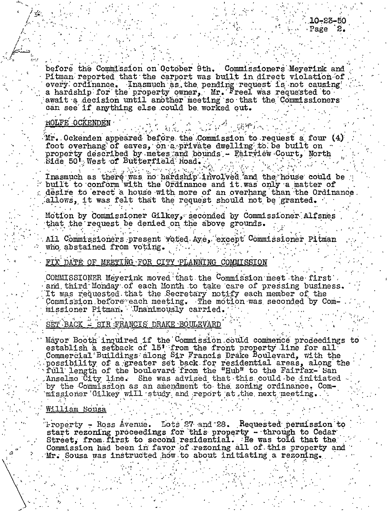before the Commission on October 9th. Commissioners Meyerink and Pitman reported that the carport was built in direct violation of every ordinance. Inasmuch as the pending request is not causing a hardship for the property owner,  $Mr.$  Freel was requested to await a decision until another meeting so that the Commissioners can see if anything else could be worked out.

# **HOLFE OCKENDEN**

Mr. Ockenden appeared before the Commission to request a four (4) foot overhang of eaves, on a private dwelling to be built on property described by metes and bounds - Fairview Court, North Side 50' West of Butterfield Road.

Inasmuch as there was no hardship involved and the house could be built to conform with the Ordinance and it was only a matter of desire to erect a house with more of an overhang than the Ordinance. allows, it was felt that the request should not be granted.

Motion by Commissioner Gilkey, seconded by Commissioner Alfsnes that the request be denied on the above grounds.

All Commissioners present voted Aye, except Commissioner Pitman who abstained from voting.

# FIX DATE OF MEETING FOR CITY PLANNING COMMISSION

COMMISSIONER Meyerink moved that the Commission meet the first and third Monday of each Month to take care of pressing business. It was requested that the Secretary notify each member of the Commission before each meeting. The motion was seconded by Commissioner Pitman. Unanimously carried.

SET BACK = SIR FRANCIS DRAKE BOULEVARD

Mayor Booth inquired if the Commission could commence prodeedings to establish a setback of 15' from the front property line for all Commercial Buildings along Sir Francis Drake Boulevard, with the possibility of a greater set back for residential areas, along the full length of the boulevard from the "Hub" to the Fairfax- San Anselmo City line. She was advised that this could be initiated by the Commission as an amendment to the zoning ordinance. Commissioner Gilkey will study and report at the next meeting.

### William Sous

Property - Ross Avenue. Lots 27 and 28. Requested permission to start rezoning proceedings for this property - through to Cedar Street, from first to second residential. He was told that the Commission had been in favor of rezoning all of this property and Mr. Sousa was instructed how to about initiating a rezoning.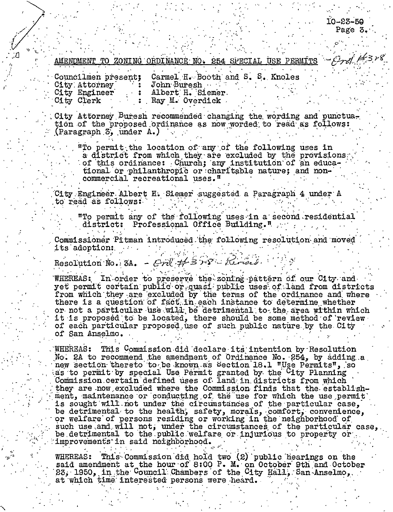$10 - 23 - 50$ Page 3.

 $-\rho_{rd}$  H3r8

# AMENDMENT TO ZONING ORDINANCE NO. 254 SPECIAL USE PERMITS

Carmel H. Booth and S. S. Knoles Councilmen present; City Attorney John Buresh Albert H. Siemer. City Engineer City Clerk Ray M. Overdick

City Attorney Buresh recommended changing the wording and punctuation of the proposed ordinance as now worded to read as follows: (Paragraph 3, under A.)

"To permit the location of any of the following uses in a district from which they are excluded by the provisions of this ordinance: Church; any institution of an educational or philanthropic or charitable nature; and noncommercial recreational uses."

City Engineer Albert H. Siemer suggested a Paragraph 4 under A to read as follows:

"To permit any of the following uses in a second residential district: Professional Office Building."

Commissioner Pitman introduced the following resolution and moved its adoption:

Resolution No. 3A. - Cré #358-1 Révées.

WHEREAS: In order to preserve the zoning pattern of our City and yet permit certain public or quasi public uses of land from districts from which they are excluded by the terms of the ordinance and where there is a question of fact in each instance to determine whether or not a particular use will be detrimental to the area within which it is proposed to be located, there should be some method of review of each particular proposed use of such public nature by the City of San Anselmo.

**WHEREAS:** This Commission did declare its intention by Resolution No. 2A to recommend the amendment of Ordinance No. 254, by adding a new section thereto to be known as Section 18.1 "Use Permits", so as to permit by special Use Permit granted by the <sup>C</sup>ity Planning Commission certain defined uses of land in districts from which they are now excluded where the Commission finds that the establishment, maintenance or conducting of the use for which the use permit is sought will not under the circumstances of the particular case, be detrimental to the health, safety, morals, comfort, convenience, or welfare of persons residing or working in the neighborhood of such use and will not, under the circumstances of the particular case, be detrimental to the public welfare or injurious to property or Improvements in said neighborhood.

WHEREAS: This Commission did hold two (2) public hearings on the said amendment at the hour of 8:00 P. M. on October 9th and October **WHEREAS:** 23, 1950, in the Council Chambers of the City Hall, San Anselmo, at which time interested persons were heard.